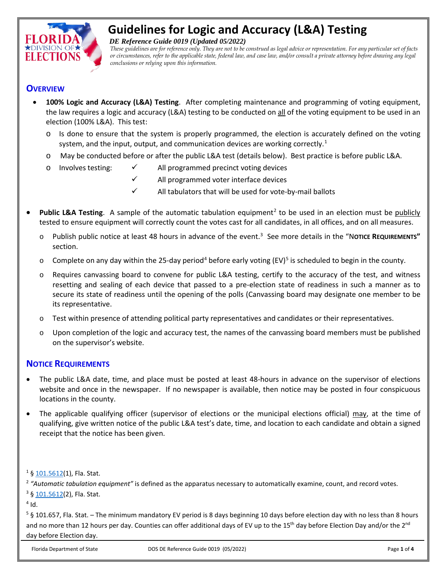

# **Guidelines for Logic and Accuracy (L&A) Testing**

 *DE Reference Guide 0019 (Updated 05/2022)*

*These guidelines are for reference only. They are not to be construed as legal advice or representation. For any particular set of facts or circumstances, refer to the applicable state, federal law, and case law, and/or consult a private attorney before drawing any legal conclusions or relying upon this information.*

## **OVERVIEW**

- **100% Logic and Accuracy (L&A) Testing**. After completing maintenance and programming of voting equipment, the law requires a logic and accuracy (L&A) testing to be conducted on all of the voting equipment to be used in an election (100% L&A). This test:
	- $\circ$  Is done to ensure that the system is properly programmed, the election is accurately defined on the voting system, and the input, output, and communication devices are working correctly.<sup>[1](#page-0-0)</sup>
	- o May be conducted before or after the public L&A test (details below). Best practice is before public L&A.
	- $\circ$  Involves testing:  $\checkmark$  All programmed precinct voting devices
		- All programmed voter interface devices
		- All tabulators that will be used for vote-by-mail ballots
- **Public L&A Testing.** A sample of the automatic tabulation equipment<sup>[2](#page-0-1)</sup> to be used in an election must be publicly tested to ensure equipment will correctly count the votes cast for all candidates, in all offices, and on all measures.
	- o Publish public notice at least 48 hours in advance of the event.[3](#page-0-2) See more details in the "N**OTICE REQUIREMENTS"** section.
	- o Complete on any day within the 25-day period<sup>[4](#page-0-3)</sup> before early voting (EV)<sup>[5](#page-0-4)</sup> is scheduled to begin in the county.
	- o Requires canvassing board to convene for public L&A testing, certify to the accuracy of the test, and witness resetting and sealing of each device that passed to a pre-election state of readiness in such a manner as to secure its state of readiness until the opening of the polls (Canvassing board may designate one member to be its representative.
	- o Test within presence of attending political party representatives and candidates or their representatives.
	- o Upon completion of the logic and accuracy test, the names of the canvassing board members must be published on the supervisor's website.

## **NOTICE REQUIREMENTS**

- The public L&A date, time, and place must be posted at least 48-hours in advance on the supervisor of elections website and once in the newspaper. If no newspaper is available, then notice may be posted in four conspicuous locations in the county.
- The applicable qualifying officer (supervisor of elections or the municipal elections official) may, at the time of qualifying, give written notice of the public L&A test's date, time, and location to each candidate and obtain a signed receipt that the notice has been given.

<span id="page-0-0"></span> $1\,$ [§ 101.5612\(1\), Fla. Stat.](http://www.leg.state.fl.us/STATUTES/index.cfm?App_mode=Display_Statute&Search_String=&URL=0100-0199/0101/Sections/0101.5612.html)

<span id="page-0-2"></span><span id="page-0-1"></span><sup>2</sup> "Automatic tabulation equipment" is defined as the apparatus necessary to automatically examine, count, and record votes. <sup>3</sup> [§ 101.5612\(2\), Fla. Stat.](http://www.leg.state.fl.us/STATUTES/index.cfm?App_mode=Display_Statute&Search_String=&URL=0100-0199/0101/Sections/0101.5612.html)

<span id="page-0-3"></span> $4$  Id.

<span id="page-0-4"></span> $5$  § 101.657, Fla. Stat. – The minimum mandatory EV period is 8 days beginning 10 days before election day with no less than 8 hours and no more than 12 hours per day. Counties can offer additional days of EV up to the 15<sup>th</sup> day before Election Day and/or the 2<sup>nd</sup> day before Election day.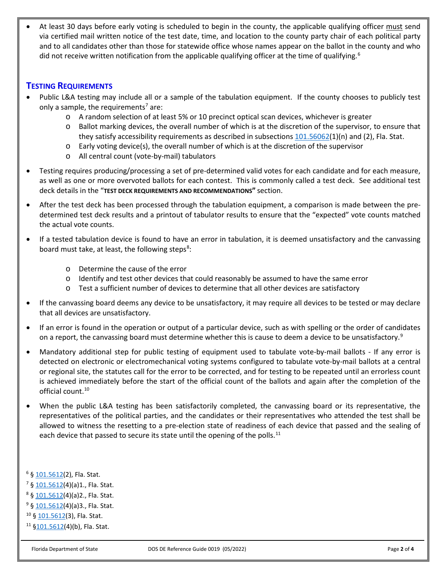At least 30 days before early voting is scheduled to begin in the county, the applicable qualifying officer must send via certified mail written notice of the test date, time, and location to the county party chair of each political party and to all candidates other than those for statewide office whose names appear on the ballot in the county and who did not receive written notification from the applicable qualifying officer at the time of qualifying.<sup>[6](#page-1-0)</sup>

## **TESTING REQUIREMENTS**

- Public L&A testing may include all or a sample of the tabulation equipment. If the county chooses to publicly test only a sample, the requirements<sup>7</sup> are:
	- o A random selection of at least 5% or 10 precinct optical scan devices, whichever is greater
	- o Ballot marking devices, the overall number of which is at the discretion of the supervisor, to ensure that they satisfy accessibility requirements as described in subsections  $101.56062(1)(n)$  $101.56062(1)(n)$  and (2), Fla. Stat.
	- $\circ$  Early voting device(s), the overall number of which is at the discretion of the supervisor
	- o All central count (vote-by-mail) tabulators
- Testing requires producing/processing a set of pre-determined valid votes for each candidate and for each measure, as well as one or more overvoted ballots for each contest. This is commonly called a test deck. See additional test deck details in the "**TEST DECK REQUIREMENTS AND RECOMMENDATIONS"** section.
- After the test deck has been processed through the tabulation equipment, a comparison is made between the predetermined test deck results and a printout of tabulator results to ensure that the "expected" vote counts matched the actual vote counts.
- If a tested tabulation device is found to have an error in tabulation, it is deemed unsatisfactory and the canvassing board must take, at least, the following steps<sup>[8](#page-1-2)</sup>:
	- o Determine the cause of the error
	- o Identify and test other devices that could reasonably be assumed to have the same error
	- o Test a sufficient number of devices to determine that all other devices are satisfactory
- If the canvassing board deems any device to be unsatisfactory, it may require all devices to be tested or may declare that all devices are unsatisfactory.
- If an error is found in the operation or output of a particular device, such as with spelling or the order of candidates on a report, the canvassing board must determine whether this is cause to deem a device to be unsatisfactory.<sup>[9](#page-1-3)</sup>
- Mandatory additional step for public testing of equipment used to tabulate vote-by-mail ballots If any error is detected on electronic or electromechanical voting systems configured to tabulate vote-by-mail ballots at a central or regional site, the statutes call for the error to be corrected, and for testing to be repeated until an errorless count is achieved immediately before the start of the official count of the ballots and again after the completion of the official count. [10](#page-1-4)
- When the public L&A testing has been satisfactorily completed, the canvassing board or its representative, the representatives of the political parties, and the candidates or their representatives who attended the test shall be allowed to witness the resetting to a pre-election state of readiness of each device that passed and the sealing of each device that passed to secure its state until the opening of the polls.<sup>[11](#page-1-5)</sup>

<span id="page-1-0"></span><sup>6</sup> § [101.5612\(](http://www.leg.state.fl.us/STATUTES/index.cfm?App_mode=Display_Statute&Search_String=&URL=0100-0199/0101/Sections/0101.5612.html)2), Fla. Stat.

- <span id="page-1-1"></span><sup>7</sup> § [101.5612\(](http://www.leg.state.fl.us/STATUTES/index.cfm?App_mode=Display_Statute&Search_String=&URL=0100-0199/0101/Sections/0101.5612.html)4)(a)1., Fla. Stat.
- <span id="page-1-2"></span><sup>8</sup> § [101.5612\(](http://www.leg.state.fl.us/STATUTES/index.cfm?App_mode=Display_Statute&Search_String=&URL=0100-0199/0101/Sections/0101.5612.html)4)(a)2., Fla. Stat.

<span id="page-1-3"></span><sup>9</sup> § [101.5612\(](http://www.leg.state.fl.us/STATUTES/index.cfm?App_mode=Display_Statute&Search_String=&URL=0100-0199/0101/Sections/0101.5612.html)4)(a)3., Fla. Stat.

<span id="page-1-4"></span><sup>10</sup> § [101.5612\(](http://www.leg.state.fl.us/STATUTES/index.cfm?App_mode=Display_Statute&Search_String=&URL=0100-0199/0101/Sections/0101.5612.html)3), Fla. Stat.

<span id="page-1-5"></span><sup>11</sup> [§101.5612\(](http://www.leg.state.fl.us/STATUTES/index.cfm?App_mode=Display_Statute&Search_String=&URL=0100-0199/0101/Sections/0101.5612.html)4)(b), Fla. Stat.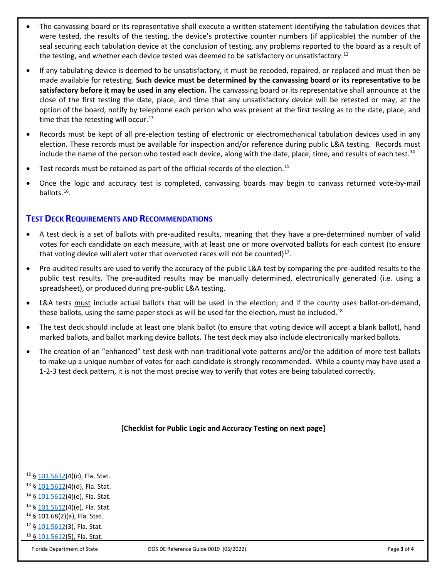- The canvassing board or its representative shall execute a written statement identifying the tabulation devices that were tested, the results of the testing, the device's protective counter numbers (if applicable) the number of the seal securing each tabulation device at the conclusion of testing, any problems reported to the board as a result of the testing, and whether each device tested was deemed to be satisfactory or unsatisfactory.<sup>[12](#page-2-0)</sup>
- If any tabulating device is deemed to be unsatisfactory, it must be recoded, repaired, or replaced and must then be made available for retesting. **Such device must be determined by the canvassing board or its representative to be satisfactory before it may be used in any election.** The canvassing board or its representative shall announce at the close of the first testing the date, place, and time that any unsatisfactory device will be retested or may, at the option of the board, notify by telephone each person who was present at the first testing as to the date, place, and time that the retesting will occur.<sup>[13](#page-2-1)</sup>
- Records must be kept of all pre-election testing of electronic or electromechanical tabulation devices used in any election. These records must be available for inspection and/or reference during public L&A testing. Records must include the name of the person who tested each device, along with the date, place, time, and results of each test.<sup>[14](#page-2-2)</sup>
- Test records must be retained as part of the official records of the election.<sup>[15](#page-2-3)</sup>
- Once the logic and accuracy test is completed, canvassing boards may begin to canvass returned vote-by-mail ballots. [16](#page-2-4).

# **TEST DECK REQUIREMENTS AND RECOMMENDATIONS**

- A test deck is a set of ballots with pre-audited results, meaning that they have a pre-determined number of valid votes for each candidate on each measure, with at least one or more overvoted ballots for each contest (to ensure that voting device will alert voter that overvoted races will not be counted) $^{17}$ .
- Pre-audited results are used to verify the accuracy of the public L&A test by comparing the pre-audited results to the public test results. The pre-audited results may be manually determined, electronically generated (i.e. using a spreadsheet), or produced during pre-public L&A testing.
- L&A tests must include actual ballots that will be used in the election; and if the county uses ballot-on-demand, these ballots, using the same paper stock as will be used for the election, must be included.<sup>18</sup>
- The test deck should include at least one blank ballot (to ensure that voting device will accept a blank ballot), hand marked ballots, and ballot marking device ballots. The test deck may also include electronically marked ballots.
- The creation of an "enhanced" test desk with non-traditional vote patterns and/or the addition of more test ballots to make up a unique number of votes for each candidate is strongly recommended. While a county may have used a 1-2-3 test deck pattern, it is not the most precise way to verify that votes are being tabulated correctly.

### **[Checklist for Public Logic and Accuracy Testing on next page]**

<span id="page-2-2"></span><span id="page-2-1"></span><span id="page-2-0"></span> $12 \S 101.5612(4)$  $12 \S 101.5612(4)$  $12 \S 101.5612(4)$ (c), Fla. Stat.  $13 \S 101.5612(4)(d)$  $13 \S 101.5612(4)(d)$  $13 \S 101.5612(4)(d)$ , Fla. Stat.  $14 \S$  [101.5612\(](http://www.leg.state.fl.us/STATUTES/index.cfm?App_mode=Display_Statute&Search_String=&URL=0100-0199/0101/Sections/0101.5612.html)4)(e), Fla. Stat.  $15 \S 101.5612(4)$  $15 \S 101.5612(4)$  $15 \S 101.5612(4)$ (e), Fla. Stat.

- <span id="page-2-4"></span><span id="page-2-3"></span><sup>16</sup> § 101.68(2)(a), Fla. Stat.
- <span id="page-2-6"></span><span id="page-2-5"></span><sup>17</sup> § [101.5612\(](http://www.leg.state.fl.us/STATUTES/index.cfm?App_mode=Display_Statute&Search_String=&URL=0100-0199/0101/Sections/0101.5612.html)3), Fla. Stat.